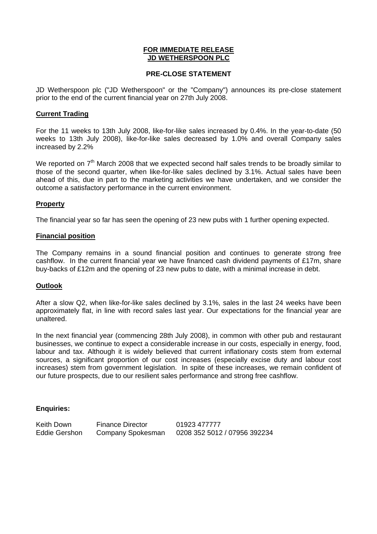#### **FOR IMMEDIATE RELEASE JD WETHERSPOON PLC**

## **PRE-CLOSE STATEMENT**

JD Wetherspoon plc ("JD Wetherspoon" or the "Company") announces its pre-close statement prior to the end of the current financial year on 27th July 2008.

#### **Current Trading**

For the 11 weeks to 13th July 2008, like-for-like sales increased by 0.4%. In the year-to-date (50 weeks to 13th July 2008), like-for-like sales decreased by 1.0% and overall Company sales increased by 2.2%

We reported on  $7<sup>th</sup>$  March 2008 that we expected second half sales trends to be broadly similar to those of the second quarter, when like-for-like sales declined by 3.1%. Actual sales have been ahead of this, due in part to the marketing activities we have undertaken, and we consider the outcome a satisfactory performance in the current environment.

# **Property**

The financial year so far has seen the opening of 23 new pubs with 1 further opening expected.

## **Financial position**

The Company remains in a sound financial position and continues to generate strong free cashflow. In the current financial year we have financed cash dividend payments of £17m, share buy-backs of £12m and the opening of 23 new pubs to date, with a minimal increase in debt.

# **Outlook**

After a slow Q2, when like-for-like sales declined by 3.1%, sales in the last 24 weeks have been approximately flat, in line with record sales last year. Our expectations for the financial year are unaltered.

In the next financial year (commencing 28th July 2008), in common with other pub and restaurant businesses, we continue to expect a considerable increase in our costs, especially in energy, food, labour and tax. Although it is widely believed that current inflationary costs stem from external sources, a significant proportion of our cost increases (especially excise duty and labour cost increases) stem from government legislation. In spite of these increases, we remain confident of our future prospects, due to our resilient sales performance and strong free cashflow.

#### **Enquiries:**

Keith Down Finance Director 01923 477777 Eddie Gershon Company Spokesman 0208 352 5012 / 07956 392234